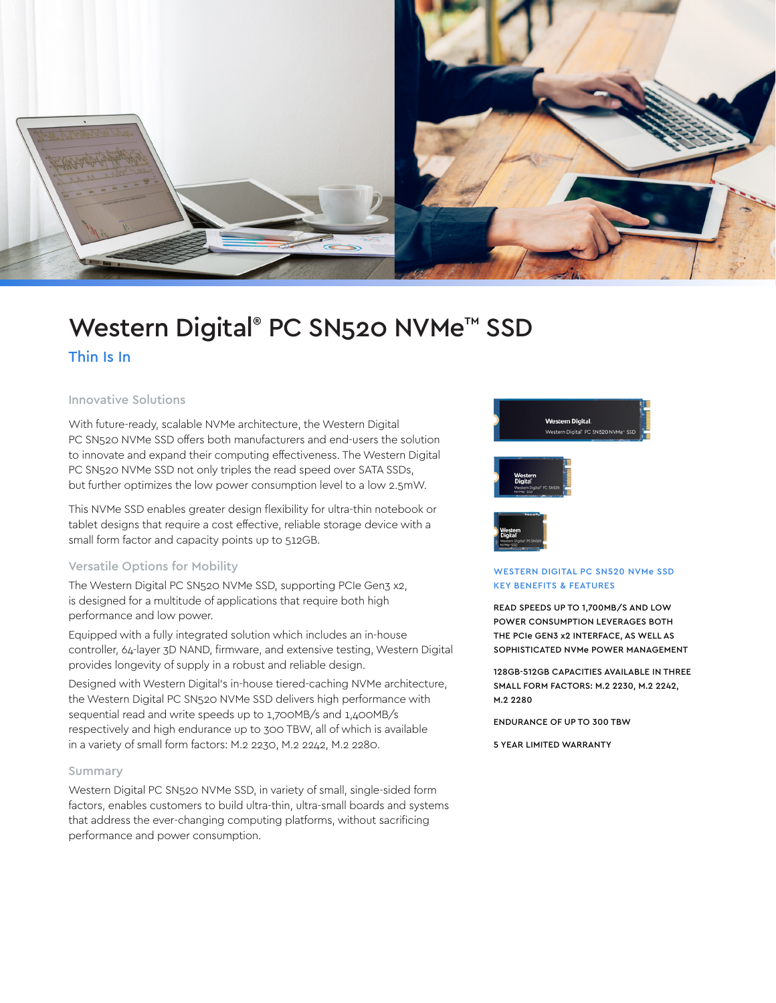

# Western Digital® PC SN520 NVMe<sup>™</sup> SSD

Thin Is In

Innovative Solutions

With future-ready, scalable NVMe architecture, the Western Digital PC SN520 NVMe SSD offers both manufacturers and end-users the solution to innovate and expand their computing effectiveness. The Western Digital PC SN520 NVMe SSD not only triples the read speed over SATA SSDs, but further optimizes the low power consumption level to a low 2.5mW.

This NVMe SSD enables greater design flexibility for ultra-thin notebook or tablet designs that require a cost effective, reliable storage device with a small form factor and capacity points up to 512GB.

#### Versatile Options for Mobility

The Western Digital PC SN520 NVMe SSD, supporting PCIe Gen3 x2, is designed for a multitude of applications that require both high performance and low power.

Equipped with a fully integrated solution which includes an in-house controller, 64-layer 3D NAND, firmware, and extensive testing, Western Digital provides longevity of supply in a robust and reliable design.

Designed with Western Digital's in-house tiered-caching NVMe architecture, the Western Digital PC SN520 NVMe SSD delivers high performance with sequential read and write speeds up to 1,700MB/s and 1,400MB/s respectively and high endurance up to 300 TBW, all of which is available in a variety of small form factors: M.2 2230, M.2 2242, M.2 2280.

#### Summary

Western Digital PC SN520 NVMe SSD, in variety of small, single-sided form factors, enables customers to build ultra-thin, ultra-small boards and systems that address the ever-changing computing platforms, without sacrificing performance and power consumption.



#### WESTERN DIGITAL PC SN520 NVMe SSD KEY BENEFITS & FEATURES

READ SPEEDS UP TO 1,700MB/S AND LOW POWER CONSUMPTION LEVERAGES BOTH THE PCIe GEN3 x2 INTERFACE, AS WELL AS SOPHISTICATED NVMe POWER MANAGEMENT

128GB-512GB CAPACITIES AVAILABLE IN THREE SMALL FORM FACTORS: M.2 2230, M.2 2242, M.2 2280

ENDURANCE OF UP TO 300 TBW

5 YEAR LIMITED WARRANTY